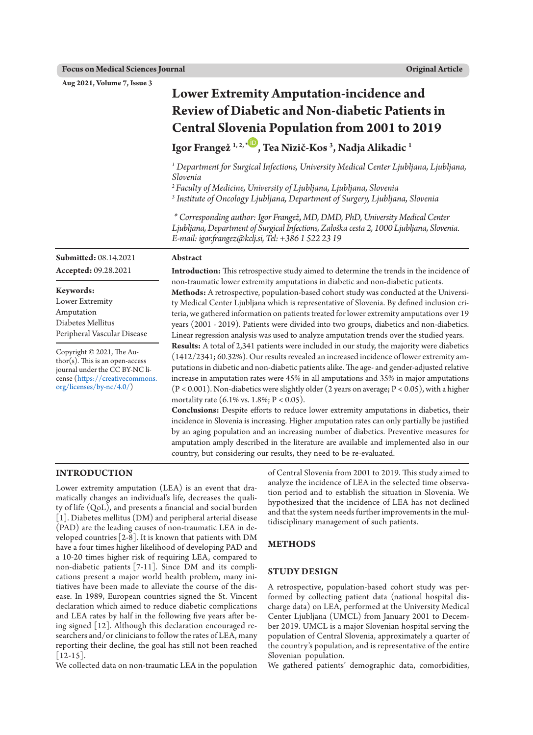**Aug 2021, Volume 7, Issue 3**

# **Lower Extremity Amputation-incidence and Review of Diabetic and Non-diabetic Patients in Central Slovenia Population from 2001 to 2019**

# **Igor Frangež 1, 2, [\\*](https://orcid.org/0000-0001-9963-8810) , Tea Nizič-Kos 3 , Nadja Alikadic 1**

*<sup>1</sup> Department for Surgical Infections, University Medical Center Ljubljana, Ljubljana, Slovenia* 

*2 Faculty of Medicine, University of Ljubljana, Ljubljana, Slovenia*

*3 Institute of Oncology Ljubljana, Department of Surgery, Ljubljana, Slovenia*

*\* Corresponding author: Igor Frangež, MD, DMD, PhD, University Medical Center Ljubljana, Department of Surgical Infections, Zaloška cesta 2, 1000 Ljubljana, Slovenia. E-mail: [igor.frangez@kclj.si](mailto:igor.frangez@kclj.si), Tel: +386 1 522 23 19*

# **Abstract**

**Accepted:** 09.28.2021

**Submitted:** 08.14.2021

**Keywords:** Lower Extremity Amputation Diabetes Mellitus Peripheral Vascular Disease

Copyright © 2021, The Au- $\text{thor}(s)$ . This is an open-access journal under the CC BY-NC license ([https://creativecommons.](https://creativecommons.org/licenses/by-nc/4.0/) [org/licenses/by-nc/4.0/](https://creativecommons.org/licenses/by-nc/4.0/))

**Introduction:** This retrospective study aimed to determine the trends in the incidence of non-traumatic lower extremity amputations in diabetic and non-diabetic patients. **Methods:** A retrospective, population-based cohort study was conducted at the University Medical Center Ljubljana which is representative of Slovenia. By defined inclusion criteria, we gathered information on patients treated for lower extremity amputations over 19 years (2001 - 2019). Patients were divided into two groups, diabetics and non-diabetics. Linear regression analysis was used to analyze amputation trends over the studied years. **Results:** A total of 2,341 patients were included in our study, the majority were diabetics (1412/2341; 60.32%). Our results revealed an increased incidence of lower extremity amputations in diabetic and non-diabetic patients alike. The age- and gender-adjusted relative

increase in amputation rates were 45% in all amputations and 35% in major amputations  $(P < 0.001)$ . Non-diabetics were slightly older (2 years on average;  $P < 0.05$ ), with a higher mortality rate  $(6.1\% \text{ vs. } 1.8\%; P < 0.05)$ .

**Conclusions:** Despite efforts to reduce lower extremity amputations in diabetics, their incidence in Slovenia is increasing. Higher amputation rates can only partially be justified by an aging population and an increasing number of diabetics. Preventive measures for amputation amply described in the literature are available and implemented also in our country, but considering our results, they need to be re-evaluated.

#### **INTRODUCTION**

Lower extremity amputation (LEA) is an event that dramatically changes an individual's life, decreases the quality of life (QoL), and presents a financial and social burden [1]. Diabetes mellitus (DM) and peripheral arterial disease (PAD) are the leading causes of non-traumatic LEA in developed countries[2-8]. It is known that patients with DM have a four times higher likelihood of developing PAD and a 10-20 times higher risk of requiring LEA, compared to non-diabetic patients [7-11]. Since DM and its complications present a major world health problem, many initiatives have been made to alleviate the course of the disease. In 1989, European countries signed the St. Vincent declaration which aimed to reduce diabetic complications and LEA rates by half in the following five years after being signed [12]. Although this declaration encouraged researchers and/or clinicians to follow the rates of LEA, many reporting their decline, the goal has still not been reached  $[12-15]$ .

We collected data on non-traumatic LEA in the population

of Central Slovenia from 2001 to 2019. This study aimed to analyze the incidence of LEA in the selected time observation period and to establish the situation in Slovenia. We hypothesized that the incidence of LEA has not declined and that the system needs further improvements in the multidisciplinary management of such patients.

#### **METHODS**

# **STUDY DESIGN**

A retrospective, population-based cohort study was performed by collecting patient data (national hospital discharge data) on LEA, performed at the University Medical Center Ljubljana (UMCL) from January 2001 to December 2019. UMCL is a major Slovenian hospital serving the population of Central Slovenia, approximately a quarter of the country's population, and is representative of the entire Slovenian population.

We gathered patients' demographic data, comorbidities,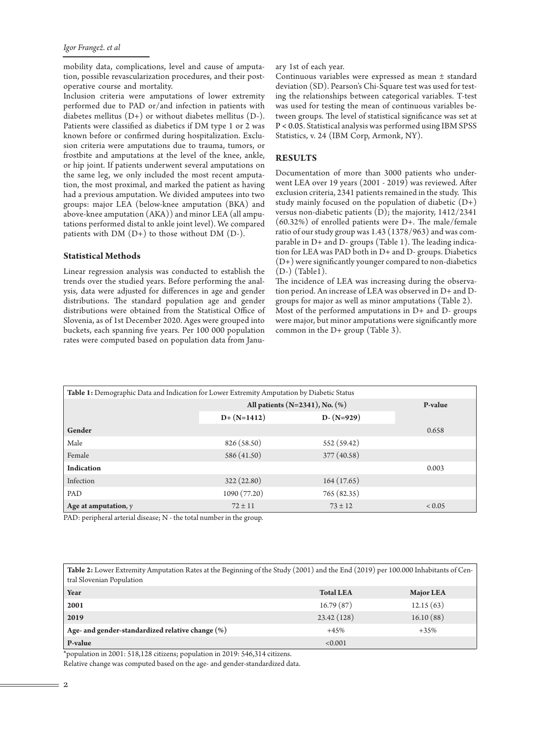mobility data, complications, level and cause of amputation, possible revascularization procedures, and their postoperative course and mortality.

Inclusion criteria were amputations of lower extremity performed due to PAD or/and infection in patients with diabetes mellitus (D+) or without diabetes mellitus (D-). Patients were classified as diabetics if DM type 1 or 2 was known before or confirmed during hospitalization. Exclusion criteria were amputations due to trauma, tumors, or frostbite and amputations at the level of the knee, ankle, or hip joint. If patients underwent several amputations on the same leg, we only included the most recent amputation, the most proximal, and marked the patient as having had a previous amputation. We divided amputees into two groups: major LEA (below-knee amputation (BKA) and above-knee amputation (AKA)) and minor LEA (all amputations performed distal to ankle joint level). We compared patients with  $DM (D+)$  to those without  $DM (D-)$ .

#### **Statistical Methods**

Linear regression analysis was conducted to establish the trends over the studied years. Before performing the analysis, data were adjusted for differences in age and gender distributions. The standard population age and gender distributions were obtained from the Statistical Office of Slovenia, as of 1st December 2020. Ages were grouped into buckets, each spanning five years. Per 100 000 population rates were computed based on population data from Janu-

#### ary 1st of each year.

Continuous variables were expressed as mean ± standard deviation (SD). Pearson's Chi-Square test was used for testing the relationships between categorical variables. T-test was used for testing the mean of continuous variables between groups. The level of statistical significance was set at P < 0.05. Statistical analysis was performed using IBM SPSS Statistics, v. 24 (IBM Corp, Armonk, NY).

#### **RESULTS**

Documentation of more than 3000 patients who underwent LEA over 19 years (2001 - 2019) was reviewed. After exclusion criteria, 2341 patients remained in the study. This study mainly focused on the population of diabetic  $(D+)$ versus non-diabetic patients (D); the majority, 1412/2341 (60.32%) of enrolled patients were D+. The male/female ratio of our study group was 1.43 (1378/963) and was comparable in D+ and D- groups (Table 1). The leading indication for LEA was PAD both in D+ and D- groups. Diabetics (D+) were significantly younger compared to non-diabetics (D-) (Table1).

The incidence of LEA was increasing during the observation period. An increase of LEA was observed in D+ and Dgroups for major as well as minor amputations (Table 2). Most of the performed amputations in D+ and D- groups were major, but minor amputations were significantly more common in the D+ group (Table 3).

| Table 1: Demographic Data and Indication for Lower Extremity Amputation by Diabetic Status |                                      |               |               |  |  |
|--------------------------------------------------------------------------------------------|--------------------------------------|---------------|---------------|--|--|
|                                                                                            | All patients $(N=2341)$ , No. $(\%)$ |               | P-value       |  |  |
|                                                                                            | $D+ (N=1412)$                        | $D - (N=929)$ |               |  |  |
| Gender                                                                                     |                                      |               | 0.658         |  |  |
| Male                                                                                       | 826 (58.50)                          | 552(59.42)    |               |  |  |
| Female                                                                                     | 586 (41.50)                          | 377(40.58)    |               |  |  |
| <b>Indication</b>                                                                          |                                      |               | 0.003         |  |  |
| Infection                                                                                  | 322(22.80)                           | 164(17.65)    |               |  |  |
| PAD                                                                                        | 1090 (77.20)                         | 765 (82.35)   |               |  |  |
| Age at amputation, y                                                                       | $72 \pm 11$                          | $73 \pm 12$   | ${}_{< 0.05}$ |  |  |

PAD: peripheral arterial disease; N - the total number in the group.

| Table 2: Lower Extremity Amputation Rates at the Beginning of the Study (2001) and the End (2019) per 100.000 Inhabitants of Cen- |  |
|-----------------------------------------------------------------------------------------------------------------------------------|--|
| tral Slovenian Population                                                                                                         |  |
|                                                                                                                                   |  |

| Year                                                | <b>Total LEA</b> | <b>Major LEA</b> |
|-----------------------------------------------------|------------------|------------------|
| 2001                                                | 16.79(87)        | 12.15(63)        |
| 2019                                                | 23.42(128)       | 16.10(88)        |
| Age- and gender-standardized relative change $(\%)$ | $+45%$           | $+35%$           |
| P-value                                             | < 0.001          |                  |

\*population in 2001: 518,128 citizens; population in 2019: 546,314 citizens.

Relative change was computed based on the age- and gender-standardized data.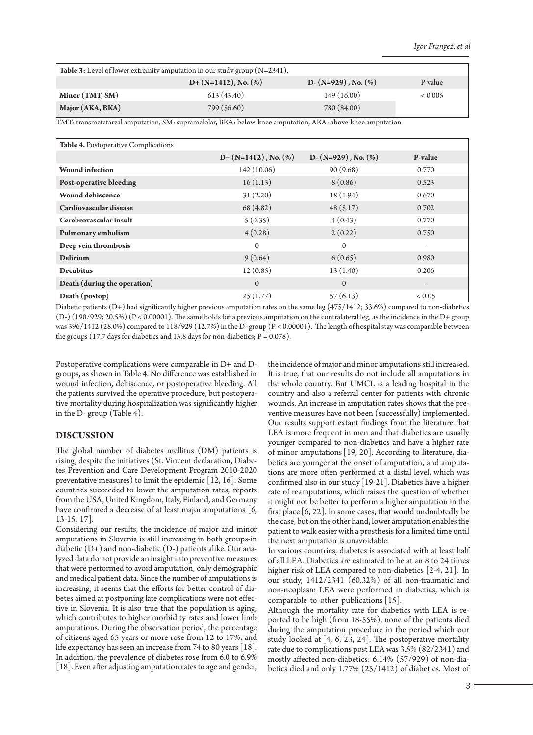| <b>Table 3:</b> Level of lower extremity amputation in our study group $(N=2341)$ . |                            |                            |         |  |  |
|-------------------------------------------------------------------------------------|----------------------------|----------------------------|---------|--|--|
|                                                                                     | $D+ (N=1412)$ , No. $(\%)$ | $D - (N=929)$ , No. $(\%)$ | P-value |  |  |
| Minor (TMT, SM)                                                                     | 613(43.40)                 | 149(16.00)                 | < 0.005 |  |  |
| Major (AKA, BKA)                                                                    | 799 (56.60)                | 780 (84.00)                |         |  |  |

TMT: transmetatarzal amputation, SM: supramelolar, BKA: below-knee amputation, AKA: above-knee amputation

| <b>Table 4. Postoperative Complications</b> |                            |                            |            |
|---------------------------------------------|----------------------------|----------------------------|------------|
|                                             | $D+ (N=1412)$ , No. $(\%)$ | $D - (N=929)$ , No. $(\%)$ | P-value    |
| <b>Wound</b> infection                      | 142(10.06)                 | 90(9.68)                   | 0.770      |
| Post-operative bleeding                     | 16(1.13)                   | 8(0.86)                    | 0.523      |
| <b>Wound dehiscence</b>                     | 31(2.20)                   | 18(1.94)                   | 0.670      |
| Cardiovascular disease                      | 68 (4.82)                  | 48(5.17)                   | 0.702      |
| Cerebrovascular insult                      | 5(0.35)                    | 4(0.43)                    | 0.770      |
| Pulmonary embolism                          | 4(0.28)                    | 2(0.22)                    | 0.750      |
| Deep vein thrombosis                        | $\mathbf{0}$               | $\mathbf{0}$               | ٠          |
| <b>Delirium</b>                             | 9(0.64)                    | 6(0.65)                    | 0.980      |
| <b>Decubitus</b>                            | 12(0.85)                   | 13(1.40)                   | 0.206      |
| Death (during the operation)                | $\mathbf{0}$               | $\mathbf{0}$               |            |
| Death (postop)                              | 25(1.77)                   | 57(6.13)                   | ${}< 0.05$ |

Diabetic patients (D+) had significantly higher previous amputation rates on the same leg (475/1412; 33.6%) compared to non-diabetics (D-) (190/929; 20.5%) (P < 0.00001). The same holds for a previous amputation on the contralateral leg, as the incidence in the D+ group was 396/1412 (28.0%) compared to 118/929 (12.7%) in the D- group (P < 0.00001). The length of hospital stay was comparable between the groups (17.7 days for diabetics and 15.8 days for non-diabetics;  $P = 0.078$ ).

Postoperative complications were comparable in D+ and Dgroups, as shown in Table 4. No difference was established in wound infection, dehiscence, or postoperative bleeding. All the patients survived the operative procedure, but postoperative mortality during hospitalization was significantly higher in the D- group (Table 4).

#### **DISCUSSION**

The global number of diabetes mellitus (DM) patients is rising, despite the initiatives (St. Vincent declaration, Diabetes Prevention and Care Development Program 2010-2020 preventative measures) to limit the epidemic [12, 16]. Some countries succeeded to lower the amputation rates; reports from the USA, United Kingdom, Italy, Finland, and Germany have confirmed a decrease of at least major amputations [6, 13-15, 17].

Considering our results, the incidence of major and minor amputations in Slovenia is still increasing in both groups-in diabetic (D+) and non-diabetic (D-) patients alike. Our analyzed data do not provide an insight into preventive measures that were performed to avoid amputation, only demographic and medical patient data. Since the number of amputations is increasing, it seems that the efforts for better control of diabetes aimed at postponing late complications were not effective in Slovenia. It is also true that the population is aging, which contributes to higher morbidity rates and lower limb amputations. During the observation period, the percentage of citizens aged 65 years or more rose from 12 to 17%, and life expectancy has seen an increase from 74 to 80 years [18]. In addition, the prevalence of diabetes rose from 6.0 to 6.9% [18]. Even after adjusting amputation rates to age and gender, the incidence of major and minor amputations still increased. It is true, that our results do not include all amputations in the whole country. But UMCL is a leading hospital in the country and also a referral center for patients with chronic wounds. An increase in amputation rates shows that the preventive measures have not been (successfully) implemented. Our results support extant findings from the literature that LEA is more frequent in men and that diabetics are usually younger compared to non-diabetics and have a higher rate of minor amputations[19, 20]. According to literature, diabetics are younger at the onset of amputation, and amputations are more often performed at a distal level, which was confirmed also in our study [19-21]. Diabetics have a higher rate of reamputations, which raises the question of whether it might not be better to perform a higher amputation in the first place  $[6, 22]$ . In some cases, that would undoubtedly be the case, but on the other hand, lower amputation enables the patient to walk easier with a prosthesis for a limited time until the next amputation is unavoidable.

In various countries, diabetes is associated with at least half of all LEA. Diabetics are estimated to be at an 8 to 24 times higher risk of LEA compared to non-diabetics [2-4, 21]. In our study, 1412/2341 (60.32%) of all non-traumatic and non-neoplasm LEA were performed in diabetics, which is comparable to other publications [15].

Although the mortality rate for diabetics with LEA is reported to be high (from 18-55%), none of the patients died during the amputation procedure in the period which our study looked at [4, 6, 23, 24]. The postoperative mortality rate due to complications post LEA was 3.5% (82/2341) and mostly affected non-diabetics: 6.14% (57/929) of non-diabetics died and only 1.77% (25/1412) of diabetics. Most of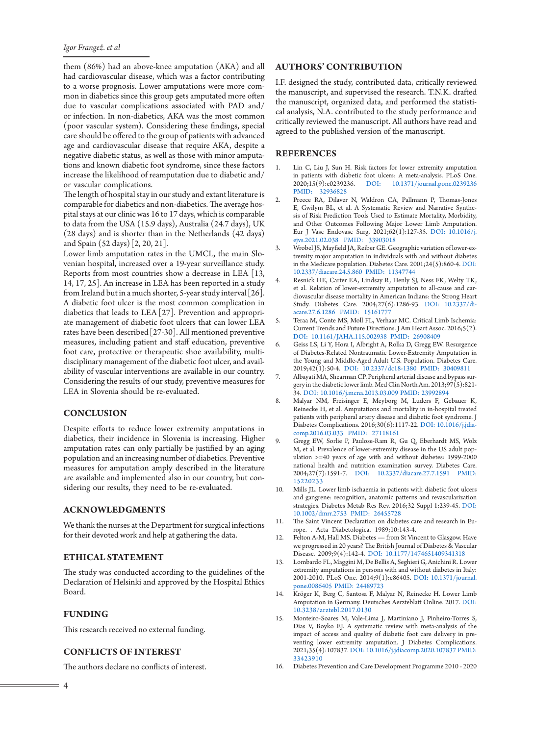# *Igor Frangež. et al*

them (86%) had an above-knee amputation (AKA) and all had cardiovascular disease, which was a factor contributing to a worse prognosis. Lower amputations were more common in diabetics since this group gets amputated more often due to vascular complications associated with PAD and/ or infection. In non-diabetics, AKA was the most common (poor vascular system). Considering these findings, special care should be offered to the group of patients with advanced age and cardiovascular disease that require AKA, despite a negative diabetic status, as well as those with minor amputations and known diabetic foot syndrome, since these factors increase the likelihood of reamputation due to diabetic and/ or vascular complications.

The length of hospital stay in our study and extant literature is comparable for diabetics and non-diabetics. The average hospital stays at our clinic was 16 to 17 days, which is comparable to data from the USA (15.9 days), Australia (24.7 days), UK (28 days) and is shorter than in the Netherlands (42 days) and Spain (52 days) [2, 20, 21].

Lower limb amputation rates in the UMCL, the main Slovenian hospital, increased over a 19-year surveillance study. Reports from most countries show a decrease in LEA [13, 14, 17, 25]. An increase in LEA has been reported in a study from Ireland but in a much shorter, 5-year study interval[26]. A diabetic foot ulcer is the most common complication in diabetics that leads to LEA [27]. Prevention and appropriate management of diabetic foot ulcers that can lower LEA rates have been described[27-30]. All mentioned preventive measures, including patient and staff education, preventive foot care, protective or therapeutic shoe availability, multidisciplinary management of the diabetic foot ulcer, and availability of vascular interventions are available in our country. Considering the results of our study, preventive measures for LEA in Slovenia should be re-evaluated.

# **CONCLUSION**

Despite efforts to reduce lower extremity amputations in diabetics, their incidence in Slovenia is increasing. Higher amputation rates can only partially be justified by an aging population and an increasing number of diabetics. Preventive measures for amputation amply described in the literature are available and implemented also in our country, but considering our results, they need to be re-evaluated.

# **ACKNOWLEDGMENTS**

We thank the nurses at the Department for surgical infections for their devoted work and help at gathering the data.

# **ETHICAL STATEMENT**

The study was conducted according to the guidelines of the Declaration of Helsinki and approved by the Hospital Ethics Board.

#### **FUNDING**

This research received no external funding.

# **CONFLICTS OF INTEREST**

The authors declare no conflicts of interest.

# **AUTHORS' CONTRIBUTION**

I.F. designed the study, contributed data, critically reviewed the manuscript, and supervised the research. T.N.K. drafted the manuscript, organized data, and performed the statistical analysis, N.A. contributed to the study performance and critically reviewed the manuscript. All authors have read and agreed to the published version of the manuscript.

# **REFERENCES**

- 1. Lin C, Liu J, Sun H. Risk factors for lower extremity amputation in patients with diabetic foot ulcers: A meta-analysis. PLoS One. 2020;15(9):e0239236. [DOI: 10.1371/journal.pone.0239236](http://dx.doi.org/10.1371/journal.pone.0239236) [PMID: 32936828](file:///C:\Users\RK\AppData\Local\Temp\www.ncbi.nlm.nih.gov\pubmed\32936828)
- 2. Preece RA, Dilaver N, Waldron CA, Pallmann P, Thomas-Jones E, Gwilym BL, et al. A Systematic Review and Narrative Synthesis of Risk Prediction Tools Used to Estimate Mortality, Morbidity, and Other Outcomes Following Major Lower Limb Amputation. Eur J Vasc Endovasc Surg. 2021;62(1):127-35. [DOI: 10.1016/j.](http://dx.doi.org/10.1016/j.ejvs.2021.02.038) [ejvs.2021.02.038](http://dx.doi.org/10.1016/j.ejvs.2021.02.038) [PMID: 33903018](file:///C:\Users\RK\AppData\Local\Temp\www.ncbi.nlm.nih.gov\pubmed\33903018)
- 3. Wrobel JS, Mayfield JA, Reiber GE. Geographic variation of lower-extremity major amputation in individuals with and without diabetes in the Medicare population. Diabetes Care. 2001;24(5):860-4. [DOI:](http://dx.doi.org/10.2337/diacare.24.5.860)  [10.2337/diacare.24.5.860](http://dx.doi.org/10.2337/diacare.24.5.860) [PMID: 11347744](file:///C:\Users\RK\AppData\Local\Temp\www.ncbi.nlm.nih.gov\pubmed\11347744)
- 4. Resnick HE, Carter EA, Lindsay R, Henly SJ, Ness FK, Welty TK, et al. Relation of lower-extremity amputation to all-cause and cardiovascular disease mortality in American Indians: the Strong Heart Study. Diabetes Care. 2004;27(6):1286-93. [DOI: 10.2337/di](http://dx.doi.org/10.2337/diacare.27.6.1286)[acare.27.6.1286](http://dx.doi.org/10.2337/diacare.27.6.1286) PMID: 1516177
- 5. Teraa M, Conte MS, Moll FL, Verhaar MC. Critical Limb Ischemia: Current Trends and Future Directions. J Am Heart Assoc. 2016;5(2). [DOI: 10.1161/JAHA.115.002938](http://dx.doi.org/10.1161/JAHA.115.002938) [PMID: 26908409](file:///C:\Users\RK\AppData\Local\Temp\www.ncbi.nlm.nih.gov\pubmed\26908409)
- 6. Geiss LS, Li Y, Hora I, Albright A, Rolka D, Gregg EW. Resurgence of Diabetes-Related Nontraumatic Lower-Extremity Amputation in the Young and Middle-Aged Adult U.S. Population. Diabetes Care. 2019;42(1):50-4. [DOI: 10.2337/dc18-1380](http://dx.doi.org/10.2337/dc18-1380) [PMID: 30409811](file:///C:\Users\RK\AppData\Local\Temp\www.ncbi.nlm.nih.gov\pubmed\30409811)
- Albayati MA, Shearman CP. Peripheral arterial disease and bypass surgery in the diabetic lower limb. Med Clin North Am. 2013;97(5):821- 34. [DOI: 10.1016/j.mcna.2013.03.009](http://dx.doi.org/10.1016/j.mcna.2013.03.009) [PMID: 23992894](file:///C:\Users\RK\AppData\Local\Temp\www.ncbi.nlm.nih.gov\pubmed\23992894)
- 8. Malyar NM, Freisinger E, Meyborg M, Luders F, Gebauer K, Reinecke H, et al. Amputations and mortality in in-hospital treated patients with peripheral artery disease and diabetic foot syndrome. J Diabetes Complications. 2016;30(6):1117-22. [DOI: 10.1016/j.jdia](http://dx.doi.org/10.1016/j.jdiacomp.2016.03.033)[comp.2016.03.033](http://dx.doi.org/10.1016/j.jdiacomp.2016.03.033) [PMID: 27118161](file:///C:\Users\RK\AppData\Local\Temp\www.ncbi.nlm.nih.gov\pubmed\27118161)
- 9. Gregg EW, Sorlie P, Paulose-Ram R, Gu Q, Eberhardt MS, Wolz M, et al. Prevalence of lower-extremity disease in the US adult population >=40 years of age with and without diabetes: 1999-2000 national health and nutrition examination survey. Diabetes Care. 2004;27(7):1591-7. [DOI: 10.2337/diacare.27.7.1591](http://dx.doi.org/10.2337/diacare.27.7.1591) [PMID:](file:///C:\Users\RK\AppData\Local\Temp\www.ncbi.nlm.nih.gov\pubmed\15220233)  [15220233](file:///C:\Users\RK\AppData\Local\Temp\www.ncbi.nlm.nih.gov\pubmed\15220233)
- 10. Mills JL. Lower limb ischaemia in patients with diabetic foot ulcers and gangrene: recognition, anatomic patterns and revascularization strategies. Diabetes Metab Res Rev. 2016;32 Suppl 1:239-45. [DOI:](http://dx.doi.org/10.1002/dmrr.2753)  [10.1002/dmrr.2753](http://dx.doi.org/10.1002/dmrr.2753) [PMID: 26455728](file:///C:\Users\RK\AppData\Local\Temp\www.ncbi.nlm.nih.gov\pubmed\26455728)
- 11. The Saint Vincent Declaration on diabetes care and research in Europe. . Acta Diabetologica. 1989;10:143-4.
- 12. Felton A-M, Hall MS. Diabetes from St Vincent to Glasgow. Have we progressed in 20 years? The British Journal of Diabetes & Vascular Disease. 2009;9(4):142-4. [DOI: 10.1177/1474651409341318](http://dx.doi.org/10.1177/1474651409341318)
- 13. Lombardo FL, Maggini M, De Bellis A, Seghieri G, Anichini R. Lower extremity amputations in persons with and without diabetes in Italy: 2001-2010. PLoS One. 2014;9(1):e86405. [DOI: 10.1371/journal.](http://dx.doi.org/10.1371/journal.pone.0086405) [pone.0086405](http://dx.doi.org/10.1371/journal.pone.0086405) [PMID: 24489723](file:///C:\Users\RK\AppData\Local\Temp\www.ncbi.nlm.nih.gov\pubmed\24489723)
- 14. Kröger K, Berg C, Santosa F, Malyar N, Reinecke H. Lower Limb Amputation in Germany. Deutsches Aerzteblatt Online. 2017. [DOI:](http://dx.doi.org/10.3238/arztebl.2017.0130)  [10.3238/arztebl.2017.0130](http://dx.doi.org/10.3238/arztebl.2017.0130)
- 15. Monteiro-Soares M, Vale-Lima J, Martiniano J, Pinheiro-Torres S, Dias V, Boyko EJ. A systematic review with meta-analysis of the impact of access and quality of diabetic foot care delivery in preventing lower extremity amputation. J Diabetes Complications. 2021;35(4):107837. [DOI: 10.1016/j.jdiacomp.2020.107837](http://dx.doi.org/10.1016/j.jdiacomp.2020.107837) [PMID:](file:///C:\Users\RK\AppData\Local\Temp\www.ncbi.nlm.nih.gov\pubmed\33423910)  [33423910](file:///C:\Users\RK\AppData\Local\Temp\www.ncbi.nlm.nih.gov\pubmed\33423910)
- 16. Diabetes Prevention and Care Development Programme 2010 2020